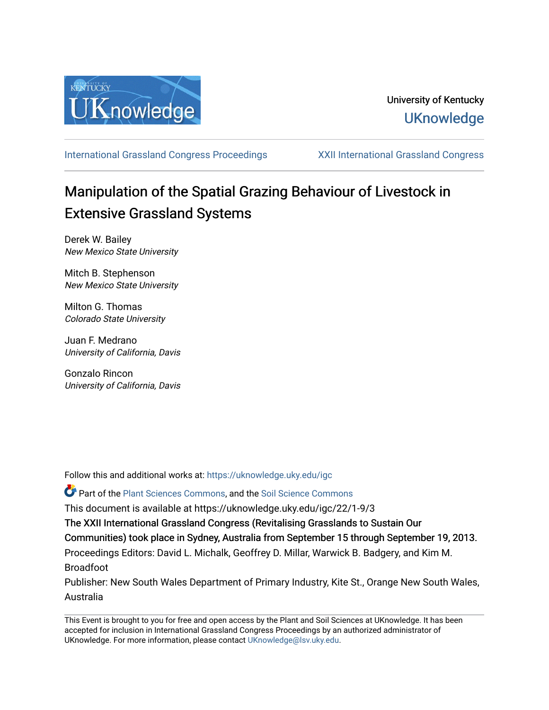

[International Grassland Congress Proceedings](https://uknowledge.uky.edu/igc) [XXII International Grassland Congress](https://uknowledge.uky.edu/igc/22) 

# Manipulation of the Spatial Grazing Behaviour of Livestock in Extensive Grassland Systems

Derek W. Bailey New Mexico State University

Mitch B. Stephenson New Mexico State University

Milton G. Thomas Colorado State University

Juan F. Medrano University of California, Davis

Gonzalo Rincon University of California, Davis

Follow this and additional works at: [https://uknowledge.uky.edu/igc](https://uknowledge.uky.edu/igc?utm_source=uknowledge.uky.edu%2Figc%2F22%2F1-9%2F3&utm_medium=PDF&utm_campaign=PDFCoverPages) 

Part of the [Plant Sciences Commons](http://network.bepress.com/hgg/discipline/102?utm_source=uknowledge.uky.edu%2Figc%2F22%2F1-9%2F3&utm_medium=PDF&utm_campaign=PDFCoverPages), and the [Soil Science Commons](http://network.bepress.com/hgg/discipline/163?utm_source=uknowledge.uky.edu%2Figc%2F22%2F1-9%2F3&utm_medium=PDF&utm_campaign=PDFCoverPages) 

This document is available at https://uknowledge.uky.edu/igc/22/1-9/3

The XXII International Grassland Congress (Revitalising Grasslands to Sustain Our

Communities) took place in Sydney, Australia from September 15 through September 19, 2013.

Proceedings Editors: David L. Michalk, Geoffrey D. Millar, Warwick B. Badgery, and Kim M. Broadfoot

Publisher: New South Wales Department of Primary Industry, Kite St., Orange New South Wales, Australia

This Event is brought to you for free and open access by the Plant and Soil Sciences at UKnowledge. It has been accepted for inclusion in International Grassland Congress Proceedings by an authorized administrator of UKnowledge. For more information, please contact [UKnowledge@lsv.uky.edu](mailto:UKnowledge@lsv.uky.edu).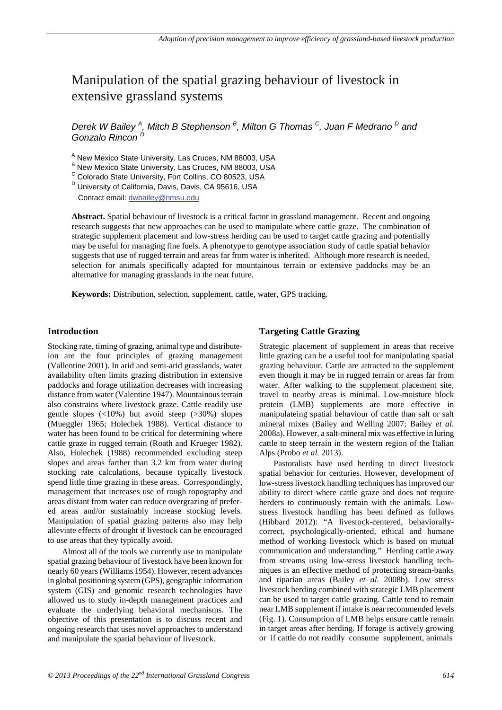## Manipulation of the spatial grazing behaviour of livestock in extensive grassland systems

*Derek W Bailey <sup>A</sup> , Mitch B Stephenson <sup>B</sup> , Milton G Thomas C, Juan F Medrano D and Gonzalo Rincon <sup>D</sup>*

<sup>A</sup> New Mexico State University, Las Cruces, NM 88003, USA

<sup>B</sup> New Mexico State University, Las Cruces, NM 88003, USA<br><sup>C</sup> Colorado State University, Fort Collins, CO 80523, USA

<sup>D</sup> University of California, Davis, Davis, CA 95616, USA

Contact email: dwbailey@nmsu.edu

**Abstract.** Spatial behaviour of livestock is a critical factor in grassland management. Recent and ongoing research suggests that new approaches can be used to manipulate where cattle graze. The combination of strategic supplement placement and low-stress herding can be used to target cattle grazing and potentially may be useful for managing fine fuels. A phenotype to genotype association study of cattle spatial behavior suggests that use of rugged terrain and areas far from water is inherited. Although more research is needed, selection for animals specifically adapted for mountainous terrain or extensive paddocks may be an alternative for managing grasslands in the near future.

**Keywords:** Distribution, selection, supplement, cattle, water, GPS tracking.

#### **Introduction**

Stocking rate, timing of grazing, animal type and distributeion are the four principles of grazing management (Vallentine 2001). In arid and semi-arid grasslands, water availability often limits grazing distribution in extensive paddocks and forage utilization decreases with increasing distance from water (Valentine 1947). Mountainous terrain also constrains where livestock graze. Cattle readily use gentle slopes  $\left( \langle 10\% \rangle \right)$  but avoid steep  $\left( \langle 20\% \rangle \right)$  slopes (Mueggler 1965; Holechek 1988). Vertical distance to water has been found to be critical for determining where cattle graze in rugged terrain (Roath and Krueger 1982). Also, Holechek (1988) recommended excluding steep slopes and areas farther than 3.2 km from water during stocking rate calculations, because typically livestock spend little time grazing in these areas. Correspondingly, management that increases use of rough topography and areas distant from water can reduce overgrazing of prefered areas and/or sustainably increase stocking levels. Manipulation of spatial grazing patterns also may help alleviate effects of drought if livestock can be encouraged to use areas that they typically avoid.

Almost all of the tools we currently use to manipulate spatial grazing behaviour of livestock have been known for nearly 60 years (Williams 1954). However, recent advances in global positioning system (GPS), geographic information system (GIS) and genomic research technologies have allowed us to study in-depth management practices and evaluate the underlying behavioral mechanisms. The objective of this presentation is to discuss recent and ongoing research that uses novel approaches to understand and manipulate the spatial behaviour of livestock.

### **Targeting Cattle Grazing**

Strategic placement of supplement in areas that receive little grazing can be a useful tool for manipulating spatial grazing behaviour. Cattle are attracted to the supplement even though it may be in rugged terrain or areas far from water. After walking to the supplement placement site, travel to nearby areas is minimal. Low-moisture block protein (LMB) supplements are more effective in manipulateing spatial behaviour of cattle than salt or salt mineral mixes (Bailey and Welling 2007; Bailey *et al.* 2008a). However, a salt-mineral mix was effective in luring cattle to steep terrain in the western region of the Italian Alps (Probo *et al.* 2013).

Pastoralists have used herding to direct livestock spatial behavior for centuries. However, development of low-stress livestock handling techniques has improved our ability to direct where cattle graze and does not require herders to continuously remain with the animals. Lowstress livestock handling has been defined as follows (Hibbard 2012): "A livestock-centered, behaviorallycorrect, psychologically-oriented, ethical and humane method of working livestock which is based on mutual communication and understanding." Herding cattle away from streams using low-stress livestock handling techniques is an effective method of protecting stream-banks and riparian areas (Bailey *et al.* 2008b). Low stress livestock herding combined with strategic LMB placement can be used to target cattle grazing. Cattle tend to remain near LMB supplement if intake is near recommended levels (Fig. 1). Consumption of LMB helps ensure cattle remain in target areas after herding. If forage is actively growing or if cattle do not readily consume supplement, animals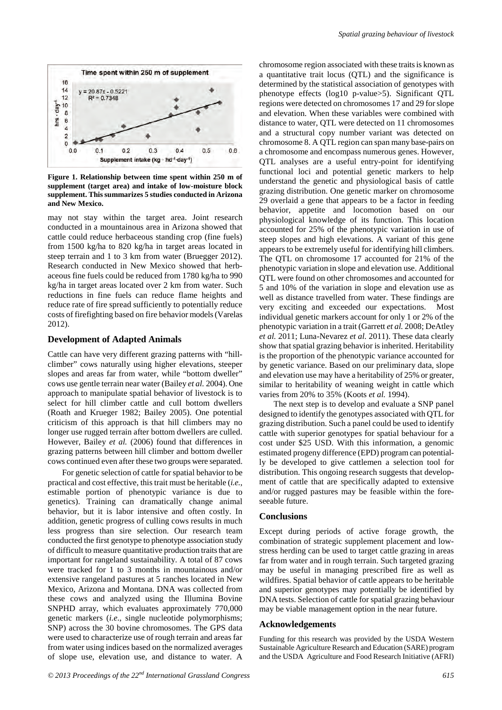

**Figure 1. Relationship between time spent within 250 m of supplement (target area) and intake of low-moisture block supplement. This summarizes 5 studies conducted in Arizona and New Mexico.**

may not stay within the target area. Joint research conducted in a mountainous area in Arizona showed that cattle could reduce herbaceous standing crop (fine fuels) from 1500 kg/ha to 820 kg/ha in target areas located in steep terrain and 1 to 3 km from water (Bruegger 2012). Research conducted in New Mexico showed that herbaceous fine fuels could be reduced from 1780 kg/ha to 990 kg/ha in target areas located over 2 km from water. Such reductions in fine fuels can reduce flame heights and reduce rate of fire spread sufficiently to potentially reduce costs of firefighting based on fire behavior models (Varelas 2012).

#### **Development of Adapted Animals**

Cattle can have very different grazing patterns with "hillclimber" cows naturally using higher elevations, steeper slopes and areas far from water, while "bottom dweller" cows use gentle terrain near water (Bailey *et al.* 2004). One approach to manipulate spatial behavior of livestock is to select for hill climber cattle and cull bottom dwellers (Roath and Krueger 1982; Bailey 2005). One potential criticism of this approach is that hill climbers may no longer use rugged terrain after bottom dwellers are culled. However, Bailey *et al.* (2006) found that differences in grazing patterns between hill climber and bottom dweller cows continued even after these two groups were separated.

For genetic selection of cattle for spatial behavior to be practical and cost effective, this trait must be heritable (*i.e.*, estimable portion of phenotypic variance is due to genetics). Training can dramatically change animal behavior, but it is labor intensive and often costly. In addition, genetic progress of culling cows results in much less progress than sire selection. Our research team conducted the first genotype to phenotype association study of difficult to measure quantitative production traits that are important for rangeland sustainability. A total of 87 cows were tracked for 1 to 3 months in mountainous and/or extensive rangeland pastures at 5 ranches located in New Mexico, Arizona and Montana. DNA was collected from these cows and analyzed using the Illumina Bovine SNPHD array, which evaluates approximately 770,000 genetic markers (*i.e*., single nucleotide polymorphisms; SNP) across the 30 bovine chromosomes. The GPS data were used to characterize use of rough terrain and areas far from water using indices based on the normalized averages of slope use, elevation use, and distance to water. A

chromosome region associated with these traits is known as a quantitative trait locus (QTL) and the significance is determined by the statistical association of genotypes with phenotype effects (log10 p-value>5). Significant QTL regions were detected on chromosomes 17 and 29 for slope and elevation. When these variables were combined with distance to water, QTL were detected on 11 chromosomes and a structural copy number variant was detected on chromosome 8. A QTL region can span many base-pairs on a chromosome and encompass numerous genes. However, QTL analyses are a useful entry-point for identifying functional loci and potential genetic markers to help understand the genetic and physiological basis of cattle grazing distribution. One genetic marker on chromosome 29 overlaid a gene that appears to be a factor in feeding behavior, appetite and locomotion based on our physiological knowledge of its function. This location accounted for 25% of the phenotypic variation in use of steep slopes and high elevations. A variant of this gene appears to be extremely useful for identifying hill climbers. The QTL on chromosome 17 accounted for 21% of the phenotypic variation in slope and elevation use. Additional QTL were found on other chromosomes and accounted for 5 and 10% of the variation in slope and elevation use as well as distance travelled from water. These findings are very exciting and exceeded our expectations. Most individual genetic markers account for only 1 or 2% of the phenotypic variation in a trait (Garrett *et al.* 2008; DeAtley *et al.* 2011; Luna-Nevarez *et al.* 2011). These data clearly show that spatial grazing behavior is inherited. Heritability is the proportion of the phenotypic variance accounted for by genetic variance. Based on our preliminary data, slope and elevation use may have a heritability of 25% or greater, similar to heritability of weaning weight in cattle which varies from 20% to 35% (Koots *et al.* 1994).

The next step is to develop and evaluate a SNP panel designed to identify the genotypes associated with QTL for grazing distribution. Such a panel could be used to identify cattle with superior genotypes for spatial behaviour for a cost under \$25 USD. With this information, a genomic estimated progeny difference (EPD) program can potentially be developed to give cattlemen a selection tool for distribution. This ongoing research suggests that development of cattle that are specifically adapted to extensive and/or rugged pastures may be feasible within the foreseeable future.

#### **Conclusions**

Except during periods of active forage growth, the combination of strategic supplement placement and lowstress herding can be used to target cattle grazing in areas far from water and in rough terrain. Such targeted grazing may be useful in managing prescribed fire as well as wildfires. Spatial behavior of cattle appears to be heritable and superior genotypes may potentially be identified by DNA tests. Selection of cattle for spatial grazing behaviour may be viable management option in the near future.

#### **Acknowledgements**

Funding for this research was provided by the USDA Western Sustainable Agriculture Research and Education (SARE) program and the USDA Agriculture and Food Research Initiative (AFRI)